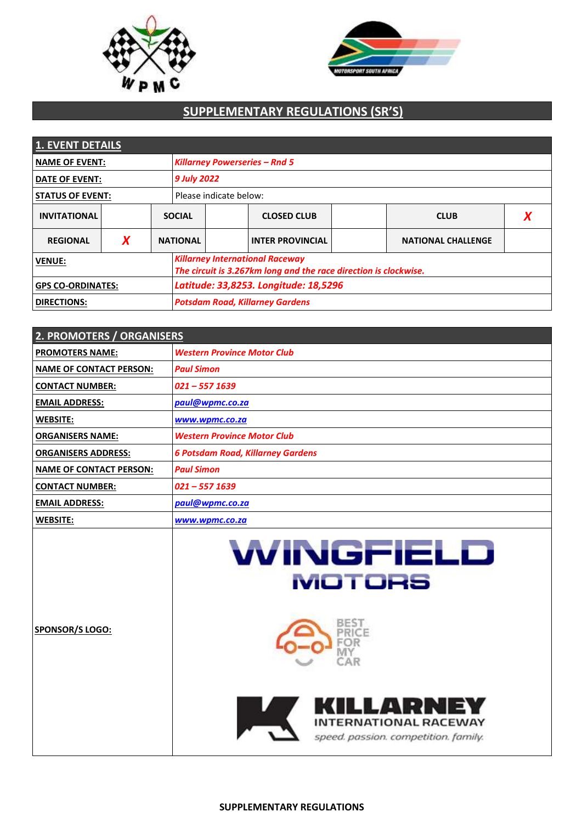



# **SUPPLEMENTARY REGULATIONS (SR'S)**

| 1. EVENT DETAILS         |   |                                      |                                                                                                            |  |                         |  |                           |  |
|--------------------------|---|--------------------------------------|------------------------------------------------------------------------------------------------------------|--|-------------------------|--|---------------------------|--|
| <b>NAME OF EVENT:</b>    |   | <b>Killarney Powerseries - Rnd 5</b> |                                                                                                            |  |                         |  |                           |  |
| <b>DATE OF EVENT:</b>    |   |                                      | 9 July 2022                                                                                                |  |                         |  |                           |  |
| <b>STATUS OF EVENT:</b>  |   |                                      | Please indicate below:                                                                                     |  |                         |  |                           |  |
| <b>INVITATIONAL</b>      |   |                                      | <b>SOCIAL</b>                                                                                              |  | <b>CLOSED CLUB</b>      |  | <b>CLUB</b>               |  |
| <b>REGIONAL</b>          | X |                                      | <b>NATIONAL</b>                                                                                            |  | <b>INTER PROVINCIAL</b> |  | <b>NATIONAL CHALLENGE</b> |  |
| <b>VENUE:</b>            |   |                                      | <b>Killarney International Raceway</b><br>The circuit is 3.267km long and the race direction is clockwise. |  |                         |  |                           |  |
| <b>GPS CO-ORDINATES:</b> |   |                                      | Latitude: 33,8253. Longitude: 18,5296                                                                      |  |                         |  |                           |  |
| <b>DIRECTIONS:</b>       |   |                                      | <b>Potsdam Road, Killarney Gardens</b>                                                                     |  |                         |  |                           |  |

| 2. PROMOTERS / ORGANISERS      |                                                                                   |  |  |  |
|--------------------------------|-----------------------------------------------------------------------------------|--|--|--|
| <b>PROMOTERS NAME:</b>         | <b>Western Province Motor Club</b>                                                |  |  |  |
| <b>NAME OF CONTACT PERSON:</b> | <b>Paul Simon</b>                                                                 |  |  |  |
| <b>CONTACT NUMBER:</b>         | $021 - 557$ 1639                                                                  |  |  |  |
| <b>EMAIL ADDRESS:</b>          | paul@wpmc.co.za                                                                   |  |  |  |
| <b>WEBSITE:</b>                | www.wpmc.co.za                                                                    |  |  |  |
| <b>ORGANISERS NAME:</b>        | <b>Western Province Motor Club</b>                                                |  |  |  |
| <b>ORGANISERS ADDRESS:</b>     | <b>6 Potsdam Road, Killarney Gardens</b>                                          |  |  |  |
| <b>NAME OF CONTACT PERSON:</b> | <b>Paul Simon</b>                                                                 |  |  |  |
| <b>CONTACT NUMBER:</b>         | $021 - 557$ 1639                                                                  |  |  |  |
| <b>EMAIL ADDRESS:</b>          | paul@wpmc.co.za                                                                   |  |  |  |
| <b>WEBSITE:</b>                | www.wpmc.co.za                                                                    |  |  |  |
|                                | WINGFIELD<br><b>MOTORS</b>                                                        |  |  |  |
| <b>SPONSOR/S LOGO:</b>         |                                                                                   |  |  |  |
|                                | KILLARNEY<br><b>INTERNATIONAL RACEWAY</b><br>speed. passion. competition. family. |  |  |  |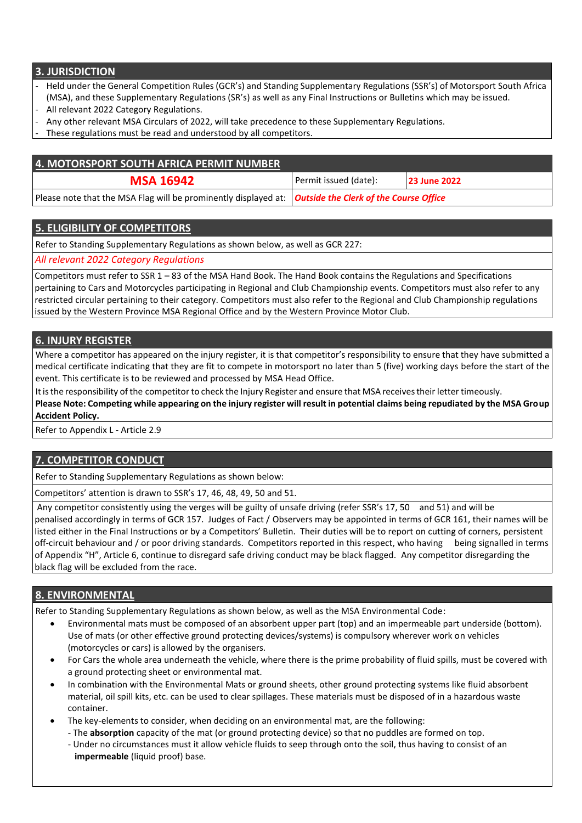## **3. JURISDICTION**

- Held under the General Competition Rules (GCR's) and Standing Supplementary Regulations (SSR's) of Motorsport South Africa (MSA), and these Supplementary Regulations (SR's) as well as any Final Instructions or Bulletins which may be issued.
- All relevant 2022 Category Regulations.
- Any other relevant MSA Circulars of 2022, will take precedence to these Supplementary Regulations.
- These regulations must be read and understood by all competitors.

| 4. MOTORSPORT SOUTH AFRICA PERMIT NUMBER                                                                        |                       |                     |  |
|-----------------------------------------------------------------------------------------------------------------|-----------------------|---------------------|--|
| <b>MSA 16942</b>                                                                                                | Permit issued (date): | <b>23 June 2022</b> |  |
| Please note that the MSA Flag will be prominently displayed at:   <b>Outside the Clerk of the Course Office</b> |                       |                     |  |

#### **5. ELIGIBILITY OF COMPETITORS**

Refer to Standing Supplementary Regulations as shown below, as well as GCR 227:

*All relevant 2022 Category Regulations*

Competitors must refer to SSR 1 – 83 of the MSA Hand Book. The Hand Book contains the Regulations and Specifications pertaining to Cars and Motorcycles participating in Regional and Club Championship events. Competitors must also refer to any restricted circular pertaining to their category. Competitors must also refer to the Regional and Club Championship regulations issued by the Western Province MSA Regional Office and by the Western Province Motor Club.

### **6. INJURY REGISTER**

Where a competitor has appeared on the injury register, it is that competitor's responsibility to ensure that they have submitted a medical certificate indicating that they are fit to compete in motorsport no later than 5 (five) working days before the start of the event. This certificate is to be reviewed and processed by MSA Head Office.

It isthe responsibility ofthe competitor to check the Injury Register and ensure that MSA receivestheir letter timeously.

**Please Note: Competing while appearing on the injury register will result in potential claims being repudiated by the MSA Group Accident Policy.**

Refer to Appendix L - Article 2.9

# **7. COMPETITOR CONDUCT**

Refer to Standing Supplementary Regulations as shown below:

Competitors' attention is drawn to SSR's 17, 46, 48, 49, 50 and 51.

Any competitor consistently using the verges will be guilty of unsafe driving (refer SSR's 17, 50 and 51) and will be

penalised accordingly in terms of GCR 157. Judges of Fact / Observers may be appointed in terms of GCR 161, their names will be listed either in the Final Instructions or by a Competitors' Bulletin. Their duties will be to report on cutting of corners, persistent off-circuit behaviour and / or poor driving standards. Competitors reported in this respect, who having being signalled in terms of Appendix "H", Article 6, continue to disregard safe driving conduct may be black flagged. Any competitor disregarding the black flag will be excluded from the race.

# **8. ENVIRONMENTAL**

Refer to Standing Supplementary Regulations as shown below, as well as the MSA Environmental Code:

- Environmental mats must be composed of an absorbent upper part (top) and an impermeable part underside (bottom). Use of mats (or other effective ground protecting devices/systems) is compulsory wherever work on vehicles (motorcycles or cars) is allowed by the organisers.
- For Cars the whole area underneath the vehicle, where there is the prime probability of fluid spills, must be covered with a ground protecting sheet or environmental mat.
- In combination with the Environmental Mats or ground sheets, other ground protecting systems like fluid absorbent material, oil spill kits, etc. can be used to clear spillages. These materials must be disposed of in a hazardous waste container.
- The key-elements to consider, when deciding on an environmental mat, are the following:
	- The **absorption** capacity of the mat (or ground protecting device) so that no puddles are formed on top.
	- Under no circumstances must it allow vehicle fluids to seep through onto the soil, thus having to consist of an **impermeable** (liquid proof) base.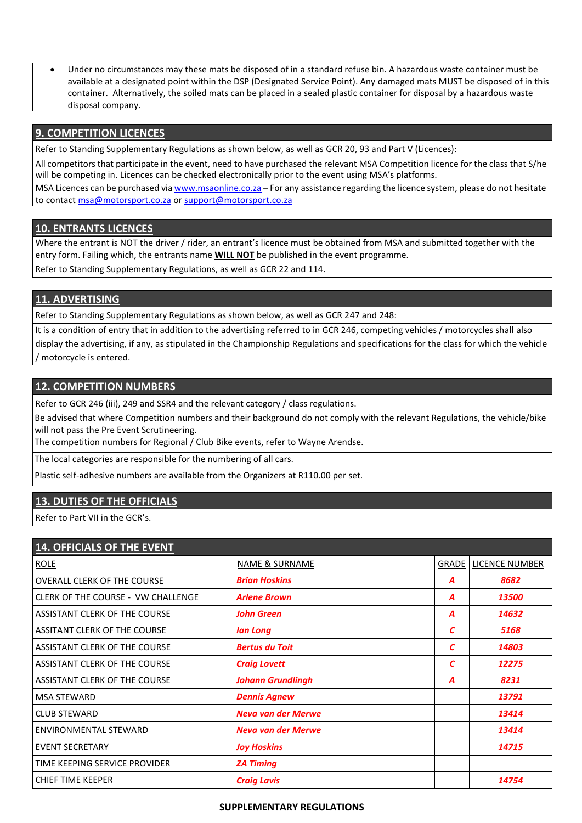Under no circumstances may these mats be disposed of in a standard refuse bin. A hazardous waste container must be available at a designated point within the DSP (Designated Service Point). Any damaged mats MUST be disposed of in this container. Alternatively, the soiled mats can be placed in a sealed plastic container for disposal by a hazardous waste disposal company.

#### **9. COMPETITION LICENCES**

Refer to Standing Supplementary Regulations as shown below, as well as GCR 20, 93 and Part V (Licences):

All competitors that participate in the event, need to have purchased the relevant MSA Competition licence for the class that S/he will be competing in. Licences can be checked electronically prior to the event using MSA's platforms.

MSA Licences can be purchased via [www.msaonline.co.za](http://www.msaonline.co.za/) – For any assistance regarding the licence system, please do not hesitate to contact [msa@motorsport.co.za](mailto:msa@motorsport.co.za) o[r support@motorsport.co.za](mailto:support@motorsport.co.za)

### **10. ENTRANTS LICENCES**

Where the entrant is NOT the driver / rider, an entrant's licence must be obtained from MSA and submitted together with the entry form. Failing which, the entrants name **WILL NOT** be published in the event programme.

Refer to Standing Supplementary Regulations, as well as GCR 22 and 114.

### **11. ADVERTISING**

Refer to Standing Supplementary Regulations as shown below, as well as GCR 247 and 248:

It is a condition of entry that in addition to the advertising referred to in GCR 246, competing vehicles / motorcycles shall also display the advertising, if any, as stipulated in the Championship Regulations and specifications for the class for which the vehicle / motorcycle is entered.

#### **12. COMPETITION NUMBERS**

Refer to GCR 246 (iii), 249 and SSR4 and the relevant category / class regulations.

Be advised that where Competition numbers and their background do not comply with the relevant Regulations, the vehicle/bike will not pass the Pre Event Scrutineering.

The competition numbers for Regional / Club Bike events, refer to Wayne Arendse.

The local categories are responsible for the numbering of all cars.

Plastic self-adhesive numbers are available from the Organizers at R110.00 per set.

# **13. DUTIES OF THE OFFICIALS**

Refer to Part VII in the GCR's.

| <b>14. OFFICIALS OF THE EVENT</b>         |                           |       |                |
|-------------------------------------------|---------------------------|-------|----------------|
| <b>ROLE</b>                               | <b>NAME &amp; SURNAME</b> | GRADE | LICENCE NUMBER |
| <b>OVERALL CLERK OF THE COURSE</b>        | <b>Brian Hoskins</b>      | А     | 8682           |
| <b>CLERK OF THE COURSE - VW CHALLENGE</b> | <b>Arlene Brown</b>       | Α     | 13500          |
| ASSISTANT CLERK OF THE COURSE             | John Green                | Α     | 14632          |
| <b>ASSITANT CLERK OF THE COURSE</b>       | lan Long                  | C     | 5168           |
| ASSISTANT CLERK OF THE COURSE             | <b>Bertus du Toit</b>     | C     | 14803          |
| ASSISTANT CLERK OF THE COURSE             | <b>Craig Lovett</b>       | C     | 12275          |
| ASSISTANT CLERK OF THE COURSE             | <b>Johann Grundlingh</b>  | A     | 8231           |
| <b>MSA STEWARD</b>                        | <b>Dennis Agnew</b>       |       | 13791          |
| <b>CLUB STEWARD</b>                       | <b>Neva van der Merwe</b> |       | 13414          |
| <b>ENVIRONMENTAL STEWARD</b>              | <b>Neva van der Merwe</b> |       | 13414          |
| <b>EVENT SECRETARY</b>                    | <b>Joy Hoskins</b>        |       | 14715          |
| TIME KEEPING SERVICE PROVIDER             | <b>ZA Timing</b>          |       |                |
| <b>CHIEF TIME KEEPER</b>                  | <b>Craig Lavis</b>        |       | 14754          |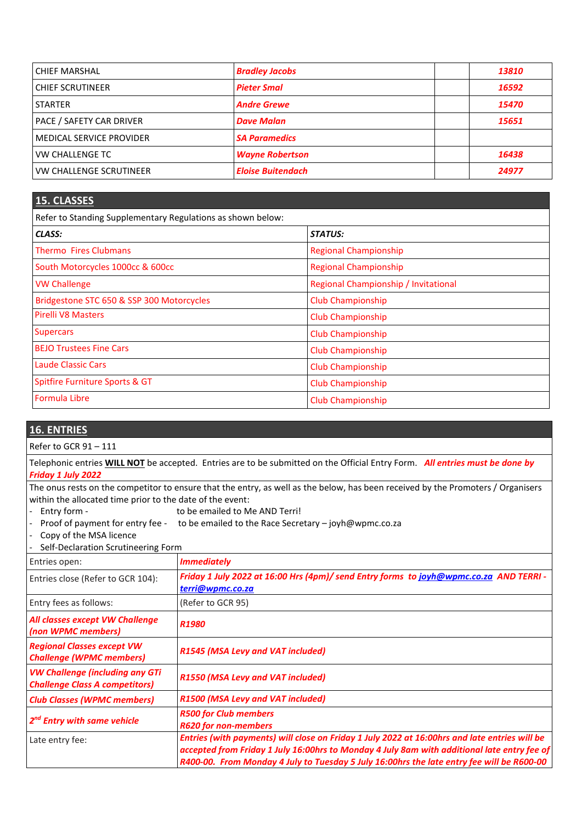| <b>CHIEF MARSHAL</b>            | <b>Bradley Jacobs</b>    | 13810 |
|---------------------------------|--------------------------|-------|
| <b>CHIEF SCRUTINEER</b>         | <b>Pieter Smal</b>       | 16592 |
| <b>STARTER</b>                  | <b>Andre Grewe</b>       | 15470 |
| <b>PACE / SAFETY CAR DRIVER</b> | <b>Dave Malan</b>        | 15651 |
| <b>MEDICAL SERVICE PROVIDER</b> | <b>SA Paramedics</b>     |       |
| <b>VW CHALLENGE TC</b>          | <b>Wayne Robertson</b>   | 16438 |
| <b>VW CHALLENGE SCRUTINEER</b>  | <b>Eloise Buitendach</b> | 24977 |

#### **15. CLASSES**

Refer to Standing Supplementary Regulations as shown below:

| CLASS:                                    | STATUS:                              |
|-------------------------------------------|--------------------------------------|
| <b>Thermo Fires Clubmans</b>              | <b>Regional Championship</b>         |
| South Motorcycles 1000cc & 600cc          | <b>Regional Championship</b>         |
| <b>VW Challenge</b>                       | Regional Championship / Invitational |
| Bridgestone STC 650 & SSP 300 Motorcycles | <b>Club Championship</b>             |
| <b>Pirelli V8 Masters</b>                 | <b>Club Championship</b>             |
| <b>Supercars</b>                          | <b>Club Championship</b>             |
| <b>BEJO Trustees Fine Cars</b>            | <b>Club Championship</b>             |
| Laude Classic Cars                        | <b>Club Championship</b>             |
| Spitfire Furniture Sports & GT            | <b>Club Championship</b>             |
| Formula Libre                             | Club Championship                    |

# **16. ENTRIES**

Refer to GCR 91 – 111

Telephonic entries **WILL NOT** be accepted. Entries are to be submitted on the Official Entry Form. *All entries must be done by Friday 1 July 2022*

The onus rests on the competitor to ensure that the entry, as well as the below, has been received by the Promoters / Organisers within the allocated time prior to the date of the event:

- Entry form to be emailed to Me AND Terri!
- Proof of payment for entry fee to be emailed to the Race Secretary joyh@wpmc.co.za
- Copy of the MSA licence
- Self-Declaration Scrutineering Form

| Entries open:                                                                   | <b>Immediately</b>                                                                                                                                                                                                                                                                        |
|---------------------------------------------------------------------------------|-------------------------------------------------------------------------------------------------------------------------------------------------------------------------------------------------------------------------------------------------------------------------------------------|
| Entries close (Refer to GCR 104):                                               | Friday 1 July 2022 at 16:00 Hrs (4pm)/ send Entry forms to joyh@wpmc.co.za AND TERRI -<br>terri@wpmc.co.za                                                                                                                                                                                |
| Entry fees as follows:                                                          | (Refer to GCR 95)                                                                                                                                                                                                                                                                         |
| All classes except VW Challenge<br>(non WPMC members)                           | R <sub>1980</sub>                                                                                                                                                                                                                                                                         |
| <b>Regional Classes except VW</b><br><b>Challenge (WPMC members)</b>            | R1545 (MSA Levy and VAT included)                                                                                                                                                                                                                                                         |
| <b>VW Challenge (including any GTi</b><br><b>Challenge Class A competitors)</b> | <b>R1550 (MSA Levy and VAT included)</b>                                                                                                                                                                                                                                                  |
| <b>Club Classes (WPMC members)</b>                                              | R1500 (MSA Levy and VAT included)                                                                                                                                                                                                                                                         |
| 2 <sup>nd</sup> Entry with same vehicle                                         | <b>R500 for Club members</b><br><b>R620 for non-members</b>                                                                                                                                                                                                                               |
| Late entry fee:                                                                 | Entries (with payments) will close on Friday 1 July 2022 at 16:00hrs and late entries will be<br>accepted from Friday 1 July 16:00hrs to Monday 4 July 8am with additional late entry fee of<br>R400-00. From Monday 4 July to Tuesday 5 July 16:00hrs the late entry fee will be R600-00 |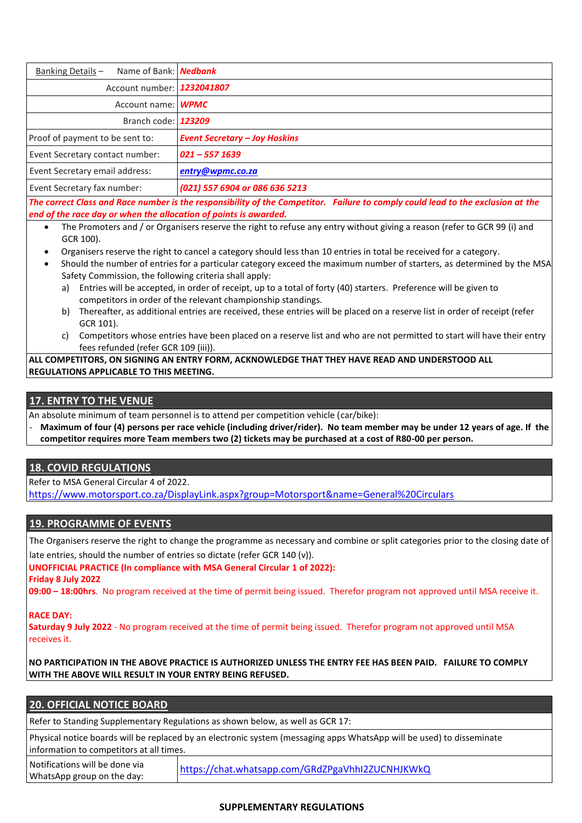| Name of Bank: Nedbank<br>Banking Details-                                                                                                                                                           |                                      |  |
|-----------------------------------------------------------------------------------------------------------------------------------------------------------------------------------------------------|--------------------------------------|--|
| Account number: 1232041807                                                                                                                                                                          |                                      |  |
| Account name: WPMC                                                                                                                                                                                  |                                      |  |
| Branch code: 123209                                                                                                                                                                                 |                                      |  |
| Proof of payment to be sent to:                                                                                                                                                                     | <b>Event Secretary - Joy Hoskins</b> |  |
| Event Secretary contact number:                                                                                                                                                                     | $021 - 557$ 1639                     |  |
| Event Secretary email address:                                                                                                                                                                      | entry@wpmc.co.za                     |  |
| Event Secretary fax number:                                                                                                                                                                         | (021) 557 6904 or 086 636 5213       |  |
| The correct Class and Race number is the responsibility of the Competitor. Failure to comply could lead to the exclusion at the<br>end of the race day or when the allocation of points is awarded. |                                      |  |

- The Promoters and / or Organisers reserve the right to refuse any entry without giving a reason (refer to GCR 99 (i) and GCR 100).
- Organisers reserve the right to cancel a category should less than 10 entries in total be received for a category.
- Should the number of entries for a particular category exceed the maximum number of starters, as determined by the MSA Safety Commission, the following criteria shall apply:
	- a) Entries will be accepted, in order of receipt, up to a total of forty (40) starters. Preference will be given to competitors in order of the relevant championship standings.
	- b) Thereafter, as additional entries are received, these entries will be placed on a reserve list in order of receipt (refer GCR 101).
	- c) Competitors whose entries have been placed on a reserve list and who are not permitted to start will have their entry fees refunded (refer GCR 109 (iii)).

**ALL COMPETITORS, ON SIGNING AN ENTRY FORM, ACKNOWLEDGE THAT THEY HAVE READ AND UNDERSTOOD ALL REGULATIONS APPLICABLE TO THIS MEETING.**

### **17. ENTRY TO THE VENUE**

An absolute minimum of team personnel is to attend per competition vehicle (car/bike):

- **Maximum of four (4) persons per race vehicle (including driver/rider). No team member may be under 12 years of age. If the competitor requires more Team members two (2) tickets may be purchased at a cost of R80-00 per person.**

# **18. COVID REGULATIONS**

Refer to MSA General Circular 4 of 2022.

<https://www.motorsport.co.za/DisplayLink.aspx?group=Motorsport&name=General%20Circulars>

#### **19. PROGRAMME OF EVENTS**

The Organisers reserve the right to change the programme as necessary and combine or split categories prior to the closing date of late entries, should the number of entries so dictate (refer GCR 140 (v)).

**UNOFFICIAL PRACTICE (In compliance with MSA General Circular 1 of 2022):**

**Friday 8 July 2022** 

WhatsApp group on the day:

**09:00 – 18:00hrs**. No program received at the time of permit being issued. Therefor program not approved until MSA receive it.

#### **RACE DAY:**

**Saturday 9 July 2022** - No program received at the time of permit being issued. Therefor program not approved until MSA receives it.

**NO PARTICIPATION IN THE ABOVE PRACTICE IS AUTHORIZED UNLESS THE ENTRY FEE HAS BEEN PAID. FAILURE TO COMPLY WITH THE ABOVE WILL RESULT IN YOUR ENTRY BEING REFUSED.**

| <b>20. OFFICIAL NOTICE BOARD</b>                                                                                                                                  |                                                  |  |  |
|-------------------------------------------------------------------------------------------------------------------------------------------------------------------|--------------------------------------------------|--|--|
| Refer to Standing Supplementary Regulations as shown below, as well as GCR 17:                                                                                    |                                                  |  |  |
| Physical notice boards will be replaced by an electronic system (messaging apps WhatsApp will be used) to disseminate<br>information to competitors at all times. |                                                  |  |  |
| Notifications will be done via<br>$\mathbf{r}$ , and $\mathbf{r}$ , and $\mathbf{r}$ , and $\mathbf{r}$ , and $\mathbf{r}$ , and $\mathbf{r}$ , and $\mathbf{r}$  | https://chat.whatsapp.com/GRdZPgaVhhI2ZUCNHJKWkQ |  |  |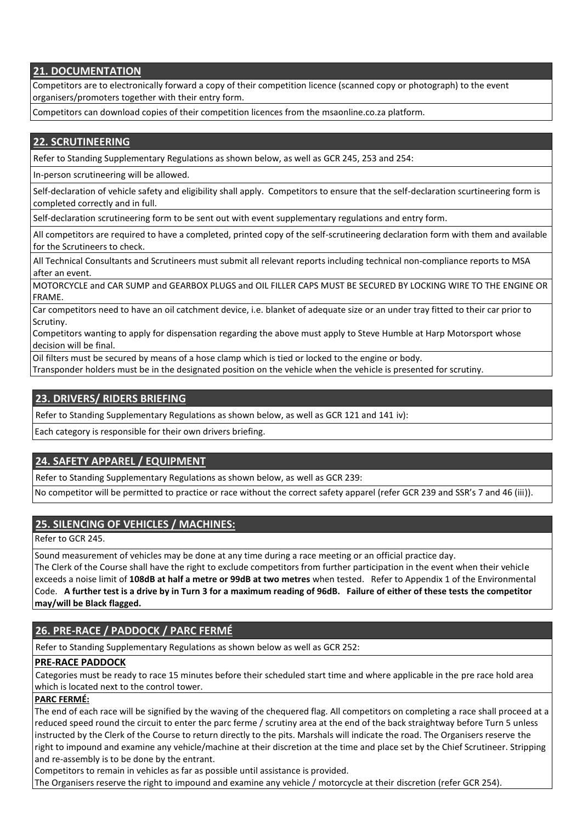# **21. DOCUMENTATION**

Competitors are to electronically forward a copy of their competition licence (scanned copy or photograph) to the event organisers/promoters together with their entry form.

Competitors can download copies of their competition licences from the msaonline.co.za platform.

## **22. SCRUTINEERING**

Refer to Standing Supplementary Regulations as shown below, as well as GCR 245, 253 and 254:

In-person scrutineering will be allowed.

Self-declaration of vehicle safety and eligibility shall apply. Competitors to ensure that the self-declaration scurtineering form is completed correctly and in full.

Self-declaration scrutineering form to be sent out with event supplementary regulations and entry form.

All competitors are required to have a completed, printed copy of the self-scrutineering declaration form with them and available for the Scrutineers to check.

All Technical Consultants and Scrutineers must submit all relevant reports including technical non-compliance reports to MSA after an event.

MOTORCYCLE and CAR SUMP and GEARBOX PLUGS and OIL FILLER CAPS MUST BE SECURED BY LOCKING WIRE TO THE ENGINE OR FRAME.

Car competitors need to have an oil catchment device, i.e. blanket of adequate size or an under tray fitted to their car prior to Scrutiny.

Competitors wanting to apply for dispensation regarding the above must apply to Steve Humble at Harp Motorsport whose decision will be final.

Oil filters must be secured by means of a hose clamp which is tied or locked to the engine or body.

Transponder holders must be in the designated position on the vehicle when the vehicle is presented for scrutiny.

# **23. DRIVERS/ RIDERS BRIEFING**

Refer to Standing Supplementary Regulations as shown below, as well as GCR 121 and 141 iv):

Each category is responsible for their own drivers briefing.

# **24. SAFETY APPAREL / EQUIPMENT**

Refer to Standing Supplementary Regulations as shown below, as well as GCR 239:

No competitor will be permitted to practice or race without the correct safety apparel (refer GCR 239 and SSR's 7 and 46 (iii)).

# **25. SILENCING OF VEHICLES / MACHINES:**

Refer to GCR 245.

Sound measurement of vehicles may be done at any time during a race meeting or an official practice day.

The Clerk of the Course shall have the right to exclude competitors from further participation in the event when their vehicle exceeds a noise limit of **108dB at half a metre or 99dB at two metres** when tested. Refer to Appendix 1 of the Environmental Code. **A further test is a drive by in Turn 3 for a maximum reading of 96dB. Failure of either of these tests the competitor may/will be Black flagged.**

# **26. PRE-RACE / PADDOCK / PARC FERMÉ**

Refer to Standing Supplementary Regulations as shown below as well as GCR 252:

#### **PRE-RACE PADDOCK**

Categories must be ready to race 15 minutes before their scheduled start time and where applicable in the pre race hold area which is located next to the control tower.

#### **PARC FERMÉ:**

The end of each race will be signified by the waving of the chequered flag. All competitors on completing a race shall proceed at a reduced speed round the circuit to enter the parc ferme / scrutiny area at the end of the back straightway before Turn 5 unless instructed by the Clerk of the Course to return directly to the pits. Marshals will indicate the road. The Organisers reserve the right to impound and examine any vehicle/machine at their discretion at the time and place set by the Chief Scrutineer. Stripping and re-assembly is to be done by the entrant.

Competitors to remain in vehicles as far as possible until assistance is provided.

The Organisers reserve the right to impound and examine any vehicle / motorcycle at their discretion (refer GCR 254).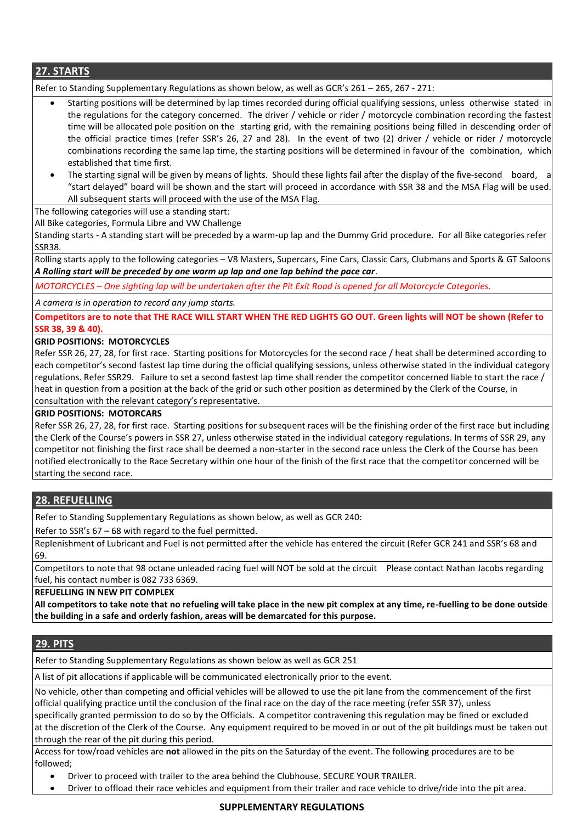**27. STARTS**

Refer to Standing Supplementary Regulations as shown below, as well as GCR's 261 – 265, 267 - 271:

- Starting positions will be determined by lap times recorded during official qualifying sessions, unless otherwise stated in the regulations for the category concerned. The driver / vehicle or rider / motorcycle combination recording the fastest time will be allocated pole position on the starting grid, with the remaining positions being filled in descending order of the official practice times (refer SSR's 26, 27 and 28). In the event of two (2) driver / vehicle or rider / motorcycle combinations recording the same lap time, the starting positions will be determined in favour of the combination, which established that time first.
- The starting signal will be given by means of lights. Should these lights fail after the display of the five-second board, a "start delayed" board will be shown and the start will proceed in accordance with SSR 38 and the MSA Flag will be used. All subsequent starts will proceed with the use of the MSA Flag.

The following categories will use a standing start:

All Bike categories, Formula Libre and VW Challenge

Standing starts - A standing start will be preceded by a warm-up lap and the Dummy Grid procedure. For all Bike categories refer SSR38.

Rolling starts apply to the following categories – V8 Masters, Supercars, Fine Cars, Classic Cars, Clubmans and Sports & GT Saloons *A Rolling start will be preceded by one warm up lap and one lap behind the pace car*.

*MOTORCYCLES – One sighting lap will be undertaken after the Pit Exit Road is opened for all Motorcycle Categories.*

*A camera is in operation to record any jump starts.*

**Competitors are to note that THE RACE WILL START WHEN THE RED LIGHTS GO OUT. Green lights will NOT be shown (Refer to SSR 38, 39 & 40).**

#### **GRID POSITIONS: MOTORCYCLES**

Refer SSR 26, 27, 28, for first race. Starting positions for Motorcycles for the second race / heat shall be determined according to each competitor's second fastest lap time during the official qualifying sessions, unless otherwise stated in the individual category regulations. Refer SSR29. Failure to set a second fastest lap time shall render the competitor concerned liable to start the race / heat in question from a position at the back of the grid or such other position as determined by the Clerk of the Course, in consultation with the relevant category's representative.

#### **GRID POSITIONS: MOTORCARS**

Refer SSR 26, 27, 28, for first race. Starting positions for subsequent races will be the finishing order of the first race but including the Clerk of the Course's powers in SSR 27, unless otherwise stated in the individual category regulations. In terms of SSR 29, any competitor not finishing the first race shall be deemed a non-starter in the second race unless the Clerk of the Course has been notified electronically to the Race Secretary within one hour of the finish of the first race that the competitor concerned will be starting the second race.

# **28. REFUELLING**

Refer to Standing Supplementary Regulations as shown below, as well as GCR 240:

Refer to SSR's 67 – 68 with regard to the fuel permitted.

Replenishment of Lubricant and Fuel is not permitted after the vehicle has entered the circuit (Refer GCR 241 and SSR's 68 and 69.

Competitors to note that 98 octane unleaded racing fuel will NOT be sold at the circuit Please contact Nathan Jacobs regarding fuel, his contact number is 082 733 6369.

#### **REFUELLING IN NEW PIT COMPLEX**

**All competitors to take note that no refueling will take place in the new pit complex at any time, re-fuelling to be done outside the building in a safe and orderly fashion, areas will be demarcated for this purpose.**

# **29. PITS**

Refer to Standing Supplementary Regulations as shown below as well as GCR 251

A list of pit allocations if applicable will be communicated electronically prior to the event.

No vehicle, other than competing and official vehicles will be allowed to use the pit lane from the commencement of the first official qualifying practice until the conclusion of the final race on the day of the race meeting (refer SSR 37), unless specifically granted permission to do so by the Officials. A competitor contravening this regulation may be fined or excluded at the discretion of the Clerk of the Course. Any equipment required to be moved in or out of the pit buildings must be taken out through the rear of the pit during this period.

Access for tow/road vehicles are **not** allowed in the pits on the Saturday of the event. The following procedures are to be followed;

- Driver to proceed with trailer to the area behind the Clubhouse. SECURE YOUR TRAILER.
- Driver to offload their race vehicles and equipment from their trailer and race vehicle to drive/ride into the pit area.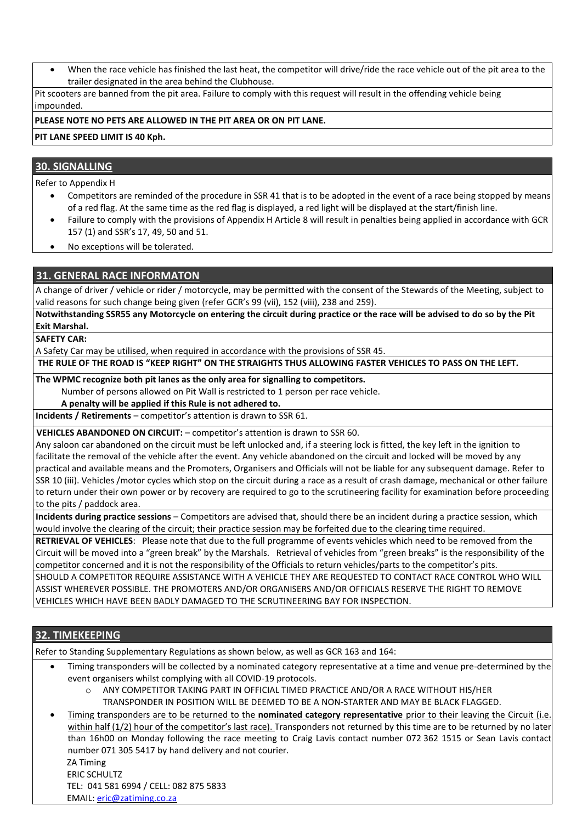When the race vehicle has finished the last heat, the competitor will drive/ride the race vehicle out of the pit area to the trailer designated in the area behind the Clubhouse.

Pit scooters are banned from the pit area. Failure to comply with this request will result in the offending vehicle being impounded.

#### **PLEASE NOTE NO PETS ARE ALLOWED IN THE PIT AREA OR ON PIT LANE.**

#### **PIT LANE SPEED LIMIT IS 40 Kph.**

#### **30. SIGNALLING**

Refer to Appendix H

- Competitors are reminded of the procedure in SSR 41 that is to be adopted in the event of a race being stopped by means of a red flag. At the same time as the red flag is displayed, a red light will be displayed at the start/finish line.
- Failure to comply with the provisions of Appendix H Article 8 will result in penalties being applied in accordance with GCR 157 (1) and SSR's 17, 49, 50 and 51.
- No exceptions will be tolerated.

### **31. GENERAL RACE INFORMATON**

A change of driver / vehicle or rider / motorcycle, may be permitted with the consent of the Stewards of the Meeting, subject to valid reasons for such change being given (refer GCR's 99 (vii), 152 (viii), 238 and 259).

**Notwithstanding SSR55 any Motorcycle on entering the circuit during practice or the race will be advised to do so by the Pit Exit Marshal.**

**SAFETY CAR:** 

A Safety Car may be utilised, when required in accordance with the provisions of SSR 45.

 **THE RULE OF THE ROAD IS "KEEP RIGHT" ON THE STRAIGHTS THUS ALLOWING FASTER VEHICLES TO PASS ON THE LEFT.**

**The WPMC recognize both pit lanes as the only area for signalling to competitors.**

Number of persons allowed on Pit Wall is restricted to 1 person per race vehicle.

**A penalty will be applied if this Rule is not adhered to.**

**Incidents / Retirements** – competitor's attention is drawn to SSR 61.

**VEHICLES ABANDONED ON CIRCUIT:** - competitor's attention is drawn to SSR 60.

Any saloon car abandoned on the circuit must be left unlocked and, if a steering lock is fitted, the key left in the ignition to facilitate the removal of the vehicle after the event. Any vehicle abandoned on the circuit and locked will be moved by any practical and available means and the Promoters, Organisers and Officials will not be liable for any subsequent damage. Refer to SSR 10 (iii). Vehicles /motor cycles which stop on the circuit during a race as a result of crash damage, mechanical or other failure to return under their own power or by recovery are required to go to the scrutineering facility for examination before proceeding to the pits / paddock area.

**Incidents during practice sessions** – Competitors are advised that, should there be an incident during a practice session, which would involve the clearing of the circuit; their practice session may be forfeited due to the clearing time required.

**RETRIEVAL OF VEHICLES**: Please note that due to the full programme of events vehicles which need to be removed from the Circuit will be moved into a "green break" by the Marshals. Retrieval of vehicles from "green breaks" is the responsibility of the competitor concerned and it is not the responsibility of the Officials to return vehicles/parts to the competitor's pits. SHOULD A COMPETITOR REQUIRE ASSISTANCE WITH A VEHICLE THEY ARE REQUESTED TO CONTACT RACE CONTROL WHO WILL ASSIST WHEREVER POSSIBLE. THE PROMOTERS AND/OR ORGANISERS AND/OR OFFICIALS RESERVE THE RIGHT TO REMOVE VEHICLES WHICH HAVE BEEN BADLY DAMAGED TO THE SCRUTINEERING BAY FOR INSPECTION.

#### **32. TIMEKEEPING**

Refer to Standing Supplementary Regulations as shown below, as well as GCR 163 and 164:

- Timing transponders will be collected by a nominated category representative at a time and venue pre-determined by the event organisers whilst complying with all COVID-19 protocols.
	- o ANY COMPETITOR TAKING PART IN OFFICIAL TIMED PRACTICE AND/OR A RACE WITHOUT HIS/HER TRANSPONDER IN POSITION WILL BE DEEMED TO BE A NON-STARTER AND MAY BE BLACK FLAGGED.
- Timing transponders are to be returned to the **nominated category representative** prior to their leaving the Circuit (i.e. within half (1/2) hour of the competitor's last race). Transponders not returned by this time are to be returned by no later than 16h00 on Monday following the race meeting to Craig Lavis contact number 072 362 1515 or Sean Lavis contact number 071 305 5417 by hand delivery and not courier. ZA Timing

 ERIC SCHULTZ TEL: 041 581 6994 / CELL: 082 875 5833 EMAIL[: eric@zatiming.co.za](mailto:eric@zatiming.co.za)